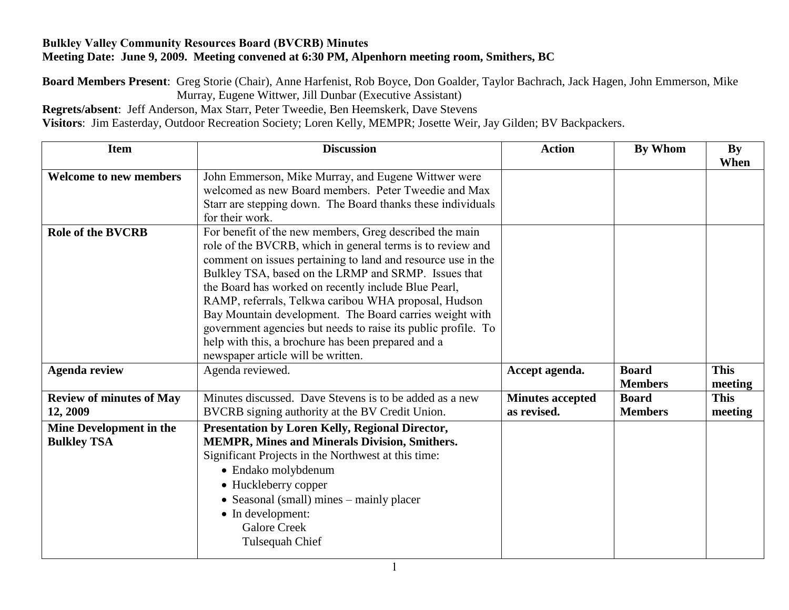## **Bulkley Valley Community Resources Board (BVCRB) Minutes Meeting Date: June 9, 2009. Meeting convened at 6:30 PM, Alpenhorn meeting room, Smithers, BC**

**Board Members Present**: Greg Storie (Chair), Anne Harfenist, Rob Boyce, Don Goalder, Taylor Bachrach, Jack Hagen, John Emmerson, Mike Murray, Eugene Wittwer, Jill Dunbar (Executive Assistant)

**Regrets/absent**: Jeff Anderson, Max Starr, Peter Tweedie, Ben Heemskerk, Dave Stevens

**Visitors**: Jim Easterday, Outdoor Recreation Society; Loren Kelly, MEMPR; Josette Weir, Jay Gilden; BV Backpackers.

| <b>Item</b>                                   | <b>Discussion</b>                                                                                                                                                                                                                                                                                                                                                                                                                                                                                                                                                                     | <b>Action</b>                          | <b>By Whom</b>                 | By<br>When             |
|-----------------------------------------------|---------------------------------------------------------------------------------------------------------------------------------------------------------------------------------------------------------------------------------------------------------------------------------------------------------------------------------------------------------------------------------------------------------------------------------------------------------------------------------------------------------------------------------------------------------------------------------------|----------------------------------------|--------------------------------|------------------------|
| <b>Welcome to new members</b>                 | John Emmerson, Mike Murray, and Eugene Wittwer were<br>welcomed as new Board members. Peter Tweedie and Max<br>Starr are stepping down. The Board thanks these individuals<br>for their work.                                                                                                                                                                                                                                                                                                                                                                                         |                                        |                                |                        |
| <b>Role of the BVCRB</b>                      | For benefit of the new members, Greg described the main<br>role of the BVCRB, which in general terms is to review and<br>comment on issues pertaining to land and resource use in the<br>Bulkley TSA, based on the LRMP and SRMP. Issues that<br>the Board has worked on recently include Blue Pearl,<br>RAMP, referrals, Telkwa caribou WHA proposal, Hudson<br>Bay Mountain development. The Board carries weight with<br>government agencies but needs to raise its public profile. To<br>help with this, a brochure has been prepared and a<br>newspaper article will be written. |                                        |                                |                        |
| <b>Agenda review</b>                          | Agenda reviewed.                                                                                                                                                                                                                                                                                                                                                                                                                                                                                                                                                                      | Accept agenda.                         | <b>Board</b><br><b>Members</b> | <b>This</b><br>meeting |
| <b>Review of minutes of May</b><br>12, 2009   | Minutes discussed. Dave Stevens is to be added as a new<br>BVCRB signing authority at the BV Credit Union.                                                                                                                                                                                                                                                                                                                                                                                                                                                                            | <b>Minutes accepted</b><br>as revised. | <b>Board</b><br><b>Members</b> | <b>This</b><br>meeting |
| Mine Development in the<br><b>Bulkley TSA</b> | Presentation by Loren Kelly, Regional Director,<br>MEMPR, Mines and Minerals Division, Smithers.<br>Significant Projects in the Northwest at this time:<br>• Endako molybdenum<br>• Huckleberry copper<br>• Seasonal (small) mines – mainly placer<br>• In development:<br><b>Galore Creek</b><br>Tulsequah Chief                                                                                                                                                                                                                                                                     |                                        |                                |                        |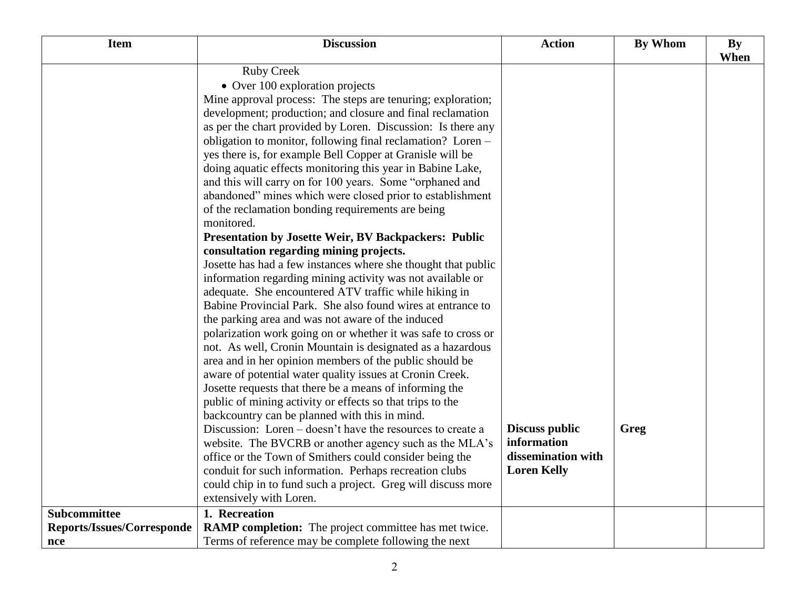| <b>Item</b>                | <b>Discussion</b>                                                                                                           | <b>Action</b>         | <b>By Whom</b> | <b>By</b> |
|----------------------------|-----------------------------------------------------------------------------------------------------------------------------|-----------------------|----------------|-----------|
|                            |                                                                                                                             |                       |                | When      |
|                            | <b>Ruby Creek</b>                                                                                                           |                       |                |           |
|                            | • Over 100 exploration projects                                                                                             |                       |                |           |
|                            | Mine approval process: The steps are tenuring; exploration;                                                                 |                       |                |           |
|                            | development; production; and closure and final reclamation                                                                  |                       |                |           |
|                            | as per the chart provided by Loren. Discussion: Is there any                                                                |                       |                |           |
|                            | obligation to monitor, following final reclamation? Loren –                                                                 |                       |                |           |
|                            | yes there is, for example Bell Copper at Granisle will be                                                                   |                       |                |           |
|                            | doing aquatic effects monitoring this year in Babine Lake,                                                                  |                       |                |           |
|                            | and this will carry on for 100 years. Some "orphaned and                                                                    |                       |                |           |
|                            | abandoned" mines which were closed prior to establishment                                                                   |                       |                |           |
|                            | of the reclamation bonding requirements are being                                                                           |                       |                |           |
|                            | monitored.                                                                                                                  |                       |                |           |
|                            | <b>Presentation by Josette Weir, BV Backpackers: Public</b>                                                                 |                       |                |           |
|                            | consultation regarding mining projects.                                                                                     |                       |                |           |
|                            | Josette has had a few instances where she thought that public                                                               |                       |                |           |
|                            | information regarding mining activity was not available or                                                                  |                       |                |           |
|                            | adequate. She encountered ATV traffic while hiking in<br>Babine Provincial Park. She also found wires at entrance to        |                       |                |           |
|                            |                                                                                                                             |                       |                |           |
|                            | the parking area and was not aware of the induced                                                                           |                       |                |           |
|                            | polarization work going on or whether it was safe to cross or<br>not. As well, Cronin Mountain is designated as a hazardous |                       |                |           |
|                            | area and in her opinion members of the public should be                                                                     |                       |                |           |
|                            | aware of potential water quality issues at Cronin Creek.                                                                    |                       |                |           |
|                            | Josette requests that there be a means of informing the                                                                     |                       |                |           |
|                            | public of mining activity or effects so that trips to the                                                                   |                       |                |           |
|                            | backcountry can be planned with this in mind.                                                                               |                       |                |           |
|                            | Discussion: Loren – doesn't have the resources to create a                                                                  | <b>Discuss public</b> | Greg           |           |
|                            | website. The BVCRB or another agency such as the MLA's                                                                      | information           |                |           |
|                            | office or the Town of Smithers could consider being the                                                                     | dissemination with    |                |           |
|                            | conduit for such information. Perhaps recreation clubs                                                                      | <b>Loren Kelly</b>    |                |           |
|                            | could chip in to fund such a project. Greg will discuss more                                                                |                       |                |           |
|                            | extensively with Loren.                                                                                                     |                       |                |           |
| Subcommittee               | 1. Recreation                                                                                                               |                       |                |           |
| Reports/Issues/Corresponde | <b>RAMP completion:</b> The project committee has met twice.                                                                |                       |                |           |
| nce                        | Terms of reference may be complete following the next                                                                       |                       |                |           |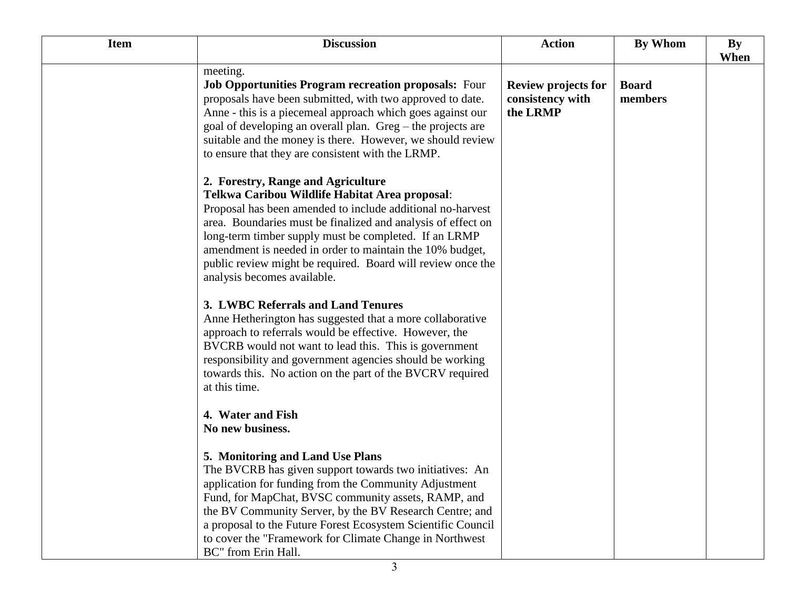| <b>Item</b> | <b>Discussion</b>                                                                                                                                                                                                                                                                                                                                                                                                                     | <b>Action</b>                                              | <b>By Whom</b>          | By   |
|-------------|---------------------------------------------------------------------------------------------------------------------------------------------------------------------------------------------------------------------------------------------------------------------------------------------------------------------------------------------------------------------------------------------------------------------------------------|------------------------------------------------------------|-------------------------|------|
|             | meeting.<br><b>Job Opportunities Program recreation proposals:</b> Four<br>proposals have been submitted, with two approved to date.<br>Anne - this is a piecemeal approach which goes against our<br>goal of developing an overall plan. Greg – the projects are<br>suitable and the money is there. However, we should review<br>to ensure that they are consistent with the LRMP.                                                  | <b>Review projects for</b><br>consistency with<br>the LRMP | <b>Board</b><br>members | When |
|             | 2. Forestry, Range and Agriculture<br>Telkwa Caribou Wildlife Habitat Area proposal:<br>Proposal has been amended to include additional no-harvest<br>area. Boundaries must be finalized and analysis of effect on<br>long-term timber supply must be completed. If an LRMP<br>amendment is needed in order to maintain the 10% budget,<br>public review might be required. Board will review once the<br>analysis becomes available. |                                                            |                         |      |
|             | 3. LWBC Referrals and Land Tenures<br>Anne Hetherington has suggested that a more collaborative<br>approach to referrals would be effective. However, the<br>BVCRB would not want to lead this. This is government<br>responsibility and government agencies should be working<br>towards this. No action on the part of the BVCRV required<br>at this time.                                                                          |                                                            |                         |      |
|             | 4. Water and Fish<br>No new business.                                                                                                                                                                                                                                                                                                                                                                                                 |                                                            |                         |      |
|             | 5. Monitoring and Land Use Plans<br>The BVCRB has given support towards two initiatives: An<br>application for funding from the Community Adjustment<br>Fund, for MapChat, BVSC community assets, RAMP, and<br>the BV Community Server, by the BV Research Centre; and<br>a proposal to the Future Forest Ecosystem Scientific Council<br>to cover the "Framework for Climate Change in Northwest"<br>BC" from Erin Hall.             |                                                            |                         |      |